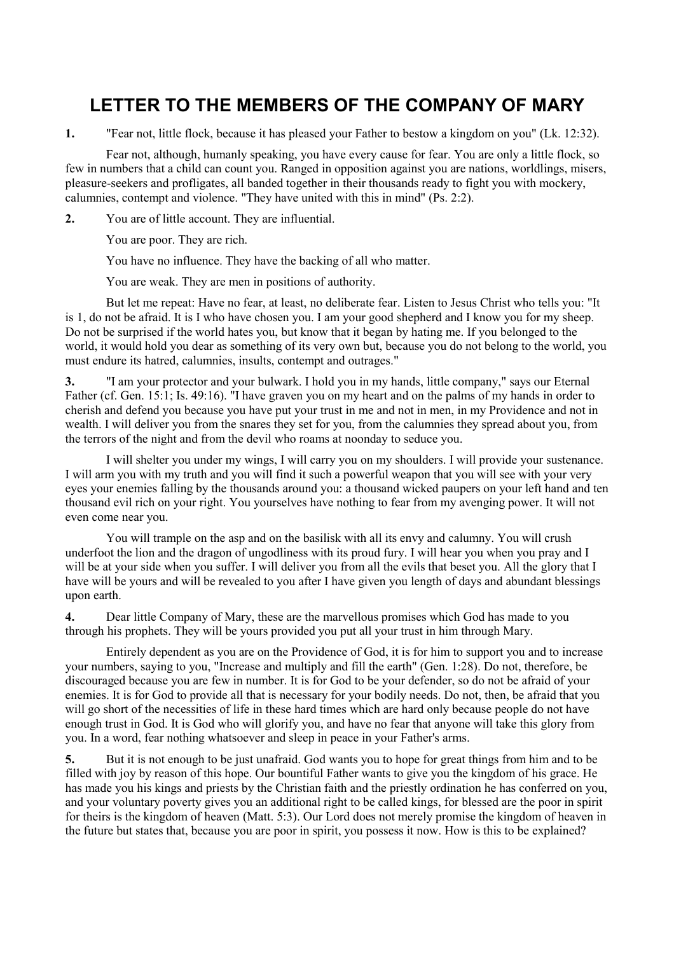## **LETTER TO THE MEMBERS OF THE COMPANY OF MARY**

**1.** "Fear not, little flock, because it has pleased your Father to bestow a kingdom on you" (Lk. 12:32).

 Fear not, although, humanly speaking, you have every cause for fear. You are only a little flock, so few in numbers that a child can count you. Ranged in opposition against you are nations, worldlings, misers, pleasure-seekers and profligates, all banded together in their thousands ready to fight you with mockery, calumnies, contempt and violence. "They have united with this in mind" (Ps. 2:2).

**2.** You are of little account. They are influential.

You are poor. They are rich.

You have no influence. They have the backing of all who matter.

You are weak. They are men in positions of authority.

 But let me repeat: Have no fear, at least, no deliberate fear. Listen to Jesus Christ who tells you: "It is 1, do not be afraid. It is I who have chosen you. I am your good shepherd and I know you for my sheep. Do not be surprised if the world hates you, but know that it began by hating me. If you belonged to the world, it would hold you dear as something of its very own but, because you do not belong to the world, you must endure its hatred, calumnies, insults, contempt and outrages."

**3.** "I am your protector and your bulwark. I hold you in my hands, little company," says our Eternal Father (cf. Gen. 15:1; Is. 49:16). "I have graven you on my heart and on the palms of my hands in order to cherish and defend you because you have put your trust in me and not in men, in my Providence and not in wealth. I will deliver you from the snares they set for you, from the calumnies they spread about you, from the terrors of the night and from the devil who roams at noonday to seduce you.

 I will shelter you under my wings, I will carry you on my shoulders. I will provide your sustenance. I will arm you with my truth and you will find it such a powerful weapon that you will see with your very eyes your enemies falling by the thousands around you: a thousand wicked paupers on your left hand and ten thousand evil rich on your right. You yourselves have nothing to fear from my avenging power. It will not even come near you.

 You will trample on the asp and on the basilisk with all its envy and calumny. You will crush underfoot the lion and the dragon of ungodliness with its proud fury. I will hear you when you pray and I will be at your side when you suffer. I will deliver you from all the evils that beset you. All the glory that I have will be yours and will be revealed to you after I have given you length of days and abundant blessings upon earth.

**4.** Dear little Company of Mary, these are the marvellous promises which God has made to you through his prophets. They will be yours provided you put all your trust in him through Mary.

 Entirely dependent as you are on the Providence of God, it is for him to support you and to increase your numbers, saying to you, "Increase and multiply and fill the earth" (Gen. 1:28). Do not, therefore, be discouraged because you are few in number. It is for God to be your defender, so do not be afraid of your enemies. It is for God to provide all that is necessary for your bodily needs. Do not, then, be afraid that you will go short of the necessities of life in these hard times which are hard only because people do not have enough trust in God. It is God who will glorify you, and have no fear that anyone will take this glory from you. In a word, fear nothing whatsoever and sleep in peace in your Father's arms.

**5.** But it is not enough to be just unafraid. God wants you to hope for great things from him and to be filled with joy by reason of this hope. Our bountiful Father wants to give you the kingdom of his grace. He has made you his kings and priests by the Christian faith and the priestly ordination he has conferred on you, and your voluntary poverty gives you an additional right to be called kings, for blessed are the poor in spirit for theirs is the kingdom of heaven (Matt. 5:3). Our Lord does not merely promise the kingdom of heaven in the future but states that, because you are poor in spirit, you possess it now. How is this to be explained?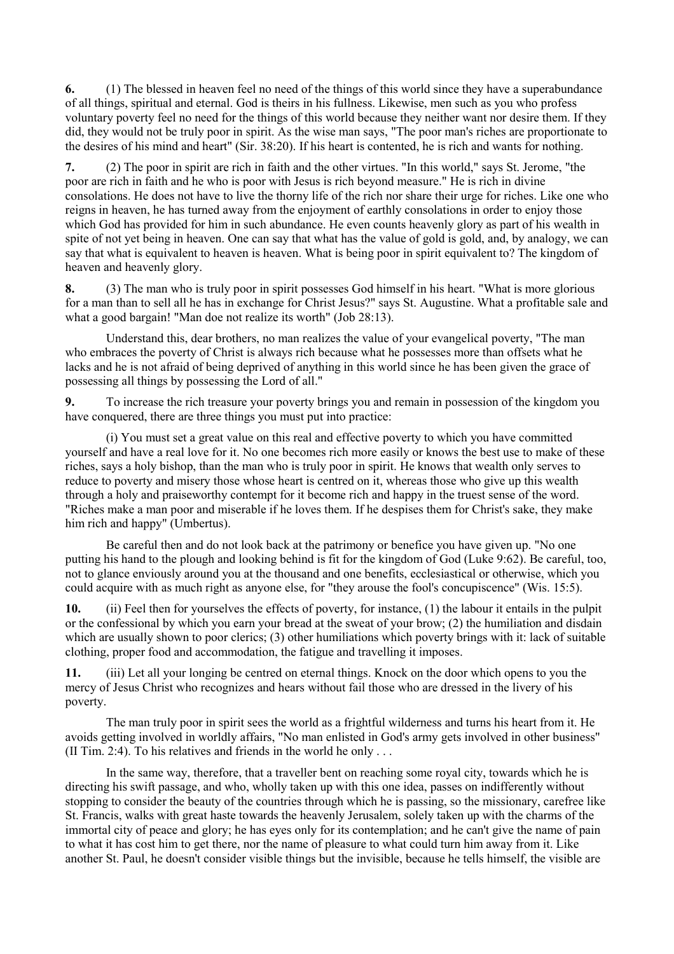**6.** (1) The blessed in heaven feel no need of the things of this world since they have a superabundance of all things, spiritual and eternal. God is theirs in his fullness. Likewise, men such as you who profess voluntary poverty feel no need for the things of this world because they neither want nor desire them. If they did, they would not be truly poor in spirit. As the wise man says, "The poor man's riches are proportionate to the desires of his mind and heart" (Sir. 38:20). If his heart is contented, he is rich and wants for nothing.

**7.** (2) The poor in spirit are rich in faith and the other virtues. "In this world," says St. Jerome, "the poor are rich in faith and he who is poor with Jesus is rich beyond measure." He is rich in divine consolations. He does not have to live the thorny life of the rich nor share their urge for riches. Like one who reigns in heaven, he has turned away from the enjoyment of earthly consolations in order to enjoy those which God has provided for him in such abundance. He even counts heavenly glory as part of his wealth in spite of not yet being in heaven. One can say that what has the value of gold is gold, and, by analogy, we can say that what is equivalent to heaven is heaven. What is being poor in spirit equivalent to? The kingdom of heaven and heavenly glory.

**8.** (3) The man who is truly poor in spirit possesses God himself in his heart. "What is more glorious for a man than to sell all he has in exchange for Christ Jesus?" says St. Augustine. What a profitable sale and what a good bargain! "Man doe not realize its worth" (Job 28:13).

 Understand this, dear brothers, no man realizes the value of your evangelical poverty, "The man who embraces the poverty of Christ is always rich because what he possesses more than offsets what he lacks and he is not afraid of being deprived of anything in this world since he has been given the grace of possessing all things by possessing the Lord of all."

**9.** To increase the rich treasure your poverty brings you and remain in possession of the kingdom you have conquered, there are three things you must put into practice:

 (i) You must set a great value on this real and effective poverty to which you have committed yourself and have a real love for it. No one becomes rich more easily or knows the best use to make of these riches, says a holy bishop, than the man who is truly poor in spirit. He knows that wealth only serves to reduce to poverty and misery those whose heart is centred on it, whereas those who give up this wealth through a holy and praiseworthy contempt for it become rich and happy in the truest sense of the word. "Riches make a man poor and miserable if he loves them. If he despises them for Christ's sake, they make him rich and happy" (Umbertus).

 Be careful then and do not look back at the patrimony or benefice you have given up. "No one putting his hand to the plough and looking behind is fit for the kingdom of God (Luke 9:62). Be careful, too, not to glance enviously around you at the thousand and one benefits, ecclesiastical or otherwise, which you could acquire with as much right as anyone else, for "they arouse the fool's concupiscence" (Wis. 15:5).

**10.** (ii) Feel then for yourselves the effects of poverty, for instance, (1) the labour it entails in the pulpit or the confessional by which you earn your bread at the sweat of your brow; (2) the humiliation and disdain which are usually shown to poor clerics; (3) other humiliations which poverty brings with it: lack of suitable clothing, proper food and accommodation, the fatigue and travelling it imposes.

**11.** (iii) Let all your longing be centred on eternal things. Knock on the door which opens to you the mercy of Jesus Christ who recognizes and hears without fail those who are dressed in the livery of his poverty.

 The man truly poor in spirit sees the world as a frightful wilderness and turns his heart from it. He avoids getting involved in worldly affairs, "No man enlisted in God's army gets involved in other business" (II Tim. 2:4). To his relatives and friends in the world he only . . .

 In the same way, therefore, that a traveller bent on reaching some royal city, towards which he is directing his swift passage, and who, wholly taken up with this one idea, passes on indifferently without stopping to consider the beauty of the countries through which he is passing, so the missionary, carefree like St. Francis, walks with great haste towards the heavenly Jerusalem, solely taken up with the charms of the immortal city of peace and glory; he has eyes only for its contemplation; and he can't give the name of pain to what it has cost him to get there, nor the name of pleasure to what could turn him away from it. Like another St. Paul, he doesn't consider visible things but the invisible, because he tells himself, the visible are